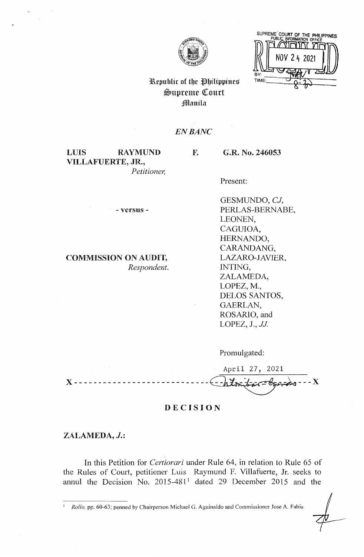

SUPREME COURT OF THE PHILIPPINES TIME

# Republic of the Philippines  $\mathfrak{S}$ upreme Court Jl!lanila

# *EN BANC*

F.

LUIS RAYMUND VILLAFUERTE, JR., *Petitioner,*  G.R. No. 246053

Present:

- versus -

# COMMISSION ON AUDIT, *Respondent.*

GESMUNDO, *CJ,*  PERLAS-BERNABE, LEONEN, CAGUIOA, HERNANDO, CARANDANG, LAZARO-JAVIER, INTING, ZALAMEDA, LOPEZ, M., DELOS SANTOS, GAERLAN, ROSARIO, and LOPEZ, J., *JJ* 

Promulgated:



# **DECISION**

# **ZALAMEDA,** J.:

In this Petition for *Certiorari* under Rule 64, in relation to Rule 65 of the Rules of Court, petitioner Luis Raymund F. Villafuerte, Jr. seeks to annul the Decision No.  $2015-481$ <sup>1</sup> dated 29 December 2015 and the

1 *Rollo,* pp. 60-63; penned by Chairperson Michael G. Aguinaldo and Commissioner Jose A. Fabia.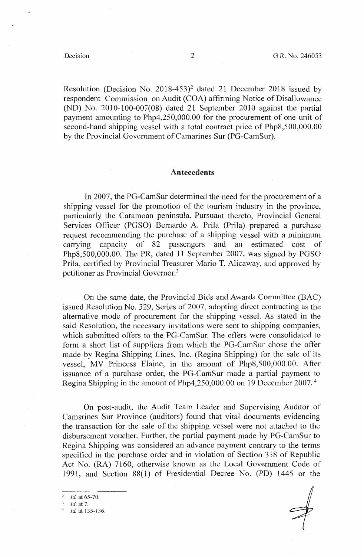Resolution (Decision No. 2018-453)<sup>2</sup> dated 21 December 2018 issued by respondent Commission on Audit (COA) affirming Notice of Disallowance (ND) No. 2010-100-007(08) dated 21 September 2010 against the partial payment amounting to Php4,250,000.00 for the procurement of one unit of second-hand shipping vessel with a total contract price of Php8,500,000.00 by the Provincial Government of Camarines Sur (PG-CamSur).

## **Antecedents**

In 2007, the PG-CamSur determined the need for the procurement of a shipping vessel for the promotion of the tourism industry in the province, particularly the Caramoan peninsula. Pursuant thereto, Provincial General Services Officer (PGSO) Bernardo A. Prila (Prila) prepared a purchase request recommending the purchase of a shipping vessel with a minimum carrying capacity of 82 passengers and an estimated cost of Php8,500,000.00. The PR, dated 11 September 2007, was signed by PGSO Prila, certified by Provincial Treasurer Mario T. Alicaway, and approved by petitioner as Provincial Governor. <sup>3</sup>

On the same date, the Provincial Bids and Awards Committee (BAC) issued Resolution No. 329, Series of 2007, adopting direct contracting as the alternative mode of procurement for the shipping vessel. As stated in the said Resolution, the necessary invitations were sent to shipping companies, which submitted offers to the PG-CamSur. The offers were consolidated to form a short list of suppliers from which the PG-CamSur chose the offer made by Regina Shipping Lines, Inc. (Regina Shipping) for the sale of its vessel, MV Princess Elaine, in the amount of Php8,500,000.00. After issuance of a purchase order, the PG-CamSur made a partial payment to Regina Shipping in the amount of Php4,250,000.00 on 19 December 2007. <sup>4</sup>

On post-audit, the Audit Team Leader and Supervising Auditor of Camarines Sur Province (auditors) found that vital documents evidencing the transaction for the sale of the shipping vessel were not attached to the disbursement voucher. Further, the partial payment made by PG-CamSur to Regina Shipping was considered an advance payment contrary to the terms specified in the purchase order and in violation of Section 338 of Republic Act No. (RA) 7160, otherwise known as the Local Government Code of 1991, and Section 88(1) of Presidential Decree No. (PD) 1445 or the

<sup>2</sup>*Id.* at 65-70. <sup>3</sup> *Id.* at 7.<br><sup>4</sup> *Id.* at 135-136.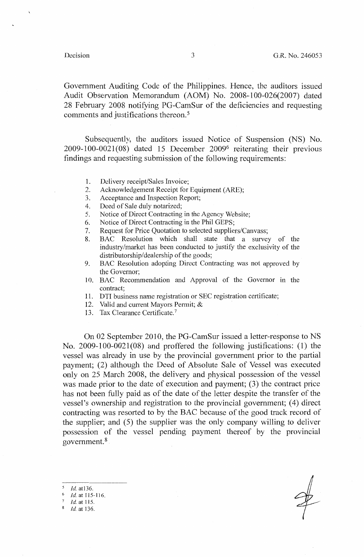Government Auditing Code of the Philippines. Hence, the auditors issued Audit Observation Memorandum (AOM) No. 2008-100-026(2007) dated 28 February 2008 notifying PG-CamSur of the deficiencies and requesting comments and justifications thereon. 5

Subsequently, the auditors issued Notice of Suspension (NS) No.  $2009-100-0021(08)$  dated 15 December  $2009<sup>6</sup>$  reiterating their previous findings and requesting submission of the following requirements:

- 1. Delivery receipt/Sales Invoice;
- 2. Acknowledgement Receipt for Equipment (ARE);
- 3. Acceptance and Inspection Report;
- 4. Deed of Sale duly notarized;
- 5. Notice of Direct Contracting in the Agency Website;
- 6. Notice of Direct Contracting in the Phil GEPS;
- 7. Request for Price Quotation to selected suppliers/Canvass;
- 8. BAC Resolution which shall state that a survey of the industry/market has been conducted to justify the exclusivity of the distributorship/dealership of the goods;
- 9. BAC Resolution adopting Direct Contracting was not approved by the Governor;
- 10. BAC Recommendation and Approval of the Governor in the contract;
- 11. DTI business name registration or SEC registration certificate;
- 12. Valid and current Mayors Permit; &
- 13. Tax Clearance Certificate.<sup>7</sup>

On 02 September 2010, the PG-CamSur issued a letter-response to NS No. 2009-100-0021(08) and proffered the following justifications: (1) the vessel was already in use by the provincial government prior to the partial payment; (2) although the Deed of Absolute Sale of Vessel was executed only on 25 March 2008, the delivery and physical possession of the vessel was made prior to the date of execution and payment; (3) the contract price has not been fully paid as of the date of the letter despite the transfer of the vessel's ownership and registration to the provincial government; (4) direct contracting was resorted to by the BAC because of the good track record of the supplier; and (5) the supplier was the only company willing to deliver possession of the vessel pending payment thereof by the provincial government. 8

*Id.* atl36. *Id.* at I 15-116.  $\frac{7}{8}$  *Id.* at 115. *Id.* at 136.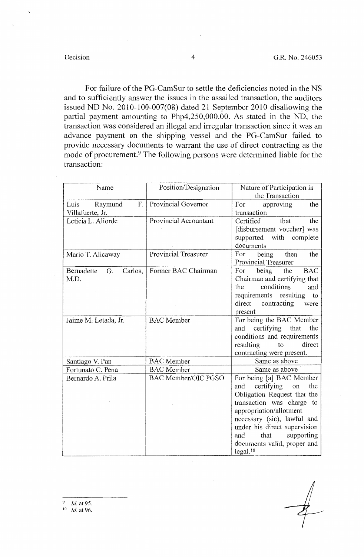For failure of the PG-CamSur to settle the deficiencies noted in the NS and to sufficiently answer the issues in the assailed transaction, the auditors issued ND No. 2010-100-007(08) dated 21 September 2010 disallowing the partial payment amounting to Php4,250,000.00. As stated in the ND, the transaction was considered an illegal and irregular transaction since it was an advance payment on the shipping vessel and the PG-CamSur failed to provide necessary documents to warrant the use of direct contracting as the mode of procurement.<sup>9</sup> The following persons were determined liable for the transaction:

| Name                                 | Position/Designation       | Nature of Participation in                               |  |
|--------------------------------------|----------------------------|----------------------------------------------------------|--|
|                                      |                            | the Transaction                                          |  |
| F.<br>Luis<br>Raymund                | Provincial Governor        | For<br>approving<br>the                                  |  |
| Villafuerte, Jr.                     |                            | transaction                                              |  |
| Leticia L. Aliorde                   | Provincial Accountant      | Certified<br>that<br>the                                 |  |
|                                      |                            | [disbursement voucher] was                               |  |
|                                      |                            | with complete<br>supported                               |  |
|                                      |                            | documents                                                |  |
| Mario T. Alicaway                    | Provincial Treasurer       | being<br>then<br>the<br>For                              |  |
|                                      |                            | Provincial Treasurer                                     |  |
| Bernadette<br>Carlos,<br>G.          | Former BAC Chairman        | being<br>For<br>the<br><b>BAC</b>                        |  |
| M.D.                                 |                            | Chairman and certifying that                             |  |
|                                      |                            | conditions<br>the<br>and                                 |  |
|                                      |                            | requirements resulting<br>to                             |  |
|                                      |                            | direct<br>contracting<br>were                            |  |
|                                      |                            | present                                                  |  |
| Jaime M. Letada, Jr.                 | <b>BAC</b> Member          | For being the BAC Member                                 |  |
|                                      |                            | certifying that<br>the<br>and                            |  |
|                                      |                            | conditions and requirements<br>direct<br>resulting<br>to |  |
|                                      |                            | contracting were present.                                |  |
|                                      | <b>BAC</b> Member          | Same as above                                            |  |
| Santiago V. Pan<br>Fortunato C. Pena | <b>BAC</b> Member          | Same as above                                            |  |
| Bernardo A. Prila                    | <b>BAC Member/OIC PGSO</b> | For being [a] BAC Member                                 |  |
|                                      |                            | certifying<br>the<br>and<br>on                           |  |
|                                      |                            | Obligation Request that the                              |  |
|                                      |                            | transaction was charge to                                |  |
|                                      |                            | appropriation/allotment                                  |  |
|                                      |                            | necessary (sic), lawful and                              |  |
|                                      |                            | under his direct supervision                             |  |
|                                      |                            | that<br>and<br>supporting                                |  |
|                                      |                            | documents valid, proper and                              |  |
|                                      |                            | legal. <sup>10</sup>                                     |  |

*Id.* at 95.

 $10$  *Id.* at 96.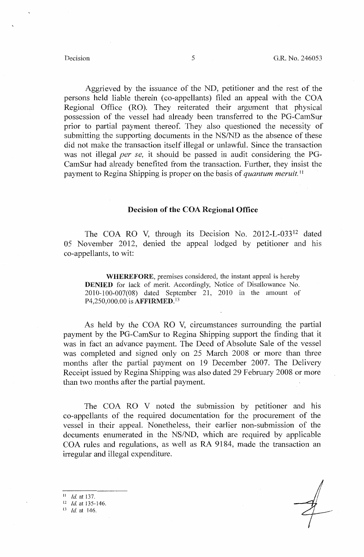Aggrieved by the issuance of the ND, petitioner and the rest of the persons held liable therein (co-appellants) filed an appeal with the COA Regional Office (RO). They reiterated their argument that physical possession of the vessel had already been transferred to the PG-CamSur prior to partial payment thereof. They also questioned the necessity of submitting the supporting documents in the NS/ND as the absence of these did not make the transaction itself illegal or unlawful. Since the transaction was not illegal *per se*, it should be passed in audit considering the PG-CamSur had already benefited from the transaction. Further, they insist the payment to Regina Shipping is proper on the basis of *quantum meruit.* <sup>11</sup>

# **Decision of the COA Regional Office**

The COA RO V, through its Decision No. 2012-L-033<sup>12</sup> dated 05 November 2012, denied the appeal lodged by petitioner and his co-appellants, to wit:

**WHEREFORE,** premises considered, the instant appeal is hereby **DENIED** for lack of merit. Accordingly, Notice of Disallowance No. 2010-100-007(08) dated September 21, 2010 in the amount of P4,250,000.00 is **AFFIRMED. <sup>13</sup>**

As held by the COA RO V, circumstances surrounding the partial payment by the PG-CamSur to Regina Shipping support the finding that it was in fact an advance payment. The Deed of Absolute Sale of the vessel was completed and signed only on 25 March 2008 or more than three months after the partial payment on 19 December 2007. The Delivery Receipt issued by Regina Shipping was also dated 29 February 2008 or more than two months after the partial payment.

The COA RO V noted the submission by petitioner and his co-appellants of the required documentation for the procurement of the vessel in their appeal. Nonetheless, their earlier non-submission of the documents enumerated in the NS/ND, which are required by applicable COA rules and regulations, as well as RA 9184, made the transaction an irregular and illegal expenditure.

 $11$  *Id.* at 137.<br><sup>12</sup> *Id.* at 135-146. 13 fd. at 146.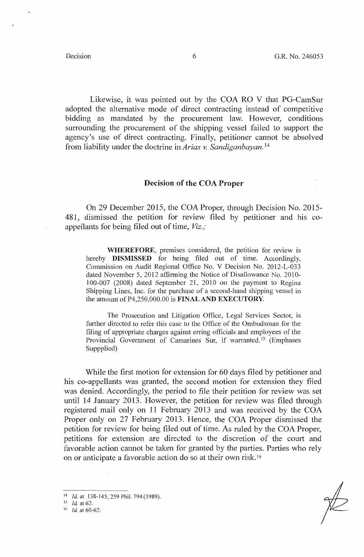Likewise, it was pointed out by the COA RO V that PG-CamSur adopted the alternative mode of direct contracting instead of competitive bidding as mandated by the procurement law. However, conditions surrounding the procurement of the shipping vessel failed to support the agency's use of direct contracting. Finally, petitioner cannot be absolved from liability under the doctrine in *Arias v. Sandiganbayan.* <sup>14</sup>

## **Decision of the COA Proper**

On 29 December 2015, the COA Proper, through Decision No. 2015- 481, dismissed the petition for review filed by petitioner and his coappellants for being filed out of time, *Viz.;* 

**WHEREFORE,** premises considered, the petition for review is hereby **DISMISSED** for being filed out of time. Accordingly, Commission on Audit Regional Office No. V Decision No. 2012-L-033 dated November 5, 2012 affirming the Notice of Disallowance No. 2010- 100-007 (2008) dated September 21, 2010 on the payment to Regina Shipping Lines, Inc. for the purchase of a second-hand shipping vessel in the amount of P4,250,000.00 is **FINAL AND EXECUTORY.** 

The Prosecution and Litigation Office, Legal Services Sector, is further directed to refer this case to the Office of the Ombudsman for the filing of appropriate charges against erring officials and employees of the Provincial Government of Camarines Sur, if warranted.<sup>15</sup> (Emphases Suppplied)

While the first motion for extension for 60 days filed by petitioner and his co-appellants was granted, the second motion for extension they filed was denied. Accordingly, the period to file their petition for review was set until 14 January 2013. However, the petition for review was filed through registered mail only on 11 February 2013 and was received by the COA Proper only on 27 February 2013. Hence, the COA Proper dismissed the petition for review for being filed out of time. As ruled by the COA Proper, petitions for extension are directed to the discretion of the court and favorable action cannot be taken for granted by the parties. Parties who rely on or anticipate a favorable action do so at their own risk. <sup>16</sup>

15 *Id.* at 62.

<sup>14</sup> *!d.* at 138-145; 259 Phil. 794 (1989).

<sup>16</sup> *Id.* at 60-62.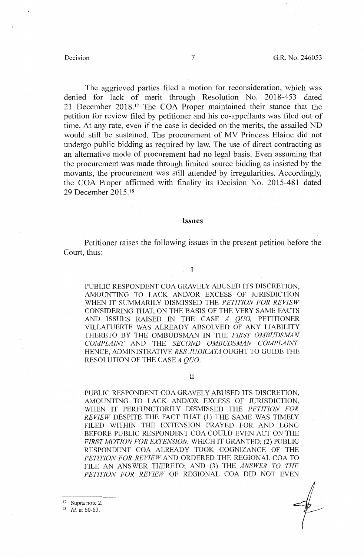The aggrieved parties filed a motion for reconsideration, which was denied for lack of merit through Resolution No. 2018-453 dated 21 December 2018.<sup>17</sup> The COA Proper maintained their stance that the petition for review filed by petitioner and his co-appellants was filed out of time. At any rate, even if the case is decided on the merits, the assailed ND would still be sustained. The procurement of MV Princess Elaine did not undergo public bidding as required by law. The use of direct contracting as an alternative mode of procurement had no legal basis. Even assuming that the procurement was made through limited source bidding as insisted by the movants, the procurement was still attended by irregularities. Accordingly, the COA Proper affirmed with finality its Decision No. 2015-481 dated 29 December 2015. <sup>18</sup>

### **Issues**

Petitioner raises the following issues in the present petition before the Court, thus:

### I

PUBLIC RESPONDENT COA GRAVELY ABUSED ITS DISCRETION, AMOUNTING TO LACK AND/OR EXCESS OF JURISDICTION WHEN IT SUMMARILY DISMISSED THE *PETITION FOR REVIEW*  CONSIDERING THAT, ON THE BASIS OF THE VERY SAME FACTS AND ISSUES RAISED IN THE CASE *A QUO,* PETITIONER VILLAFUERTE WAS ALREADY ABSOLVED OF ANY LIABILITY THERETO BY THE OMBUDSMAN IN THE *FIRST OMBUDSMAN COMPLAINT* AND THE *SECOND OMBUDSMAN COMPLAINT.*  HENCE, ADMINISTRATIVE *RES JUDJCATA* OUGHT TO GUIDE THE RESOLUTION OF THE CASE *A QUO.* 

II

PUBLIC RESPONDENT COA GRAVELY ABUSED ITS DISCRETION, AMOUNTING TO LACK AND/OR EXCESS OF JURISDICTION, WHEN IT PERFUNCTORILY DISMISSED THE *PETITION FOR REVIEW* DESPITE THE FACT THAT (1) THE SAME WAS TIMELY FILED WITHIN THE EXTENSION PRAYED FOR AND LONG BEFORE PUBLIC RESPONDENT COA COULD EVEN ACT ON THE FIRST MOTION FOR EXTENSION, WHICH IT GRANTED; (2) PUBLIC RESPONDENT COA ALREADY TOOK COGNIZANCE OF THE *PE11TION FOR REVIEW* AND ORDERED THE REGIONAL COA TO FILE AN ANSWER THERETO; AND (3) THE *ANSWER TO THE PE11TION FOR REVIEW* OF REGIONAL COA DID NOT EVEN

17 Supra note 2.

18 *Id.* at 60-63.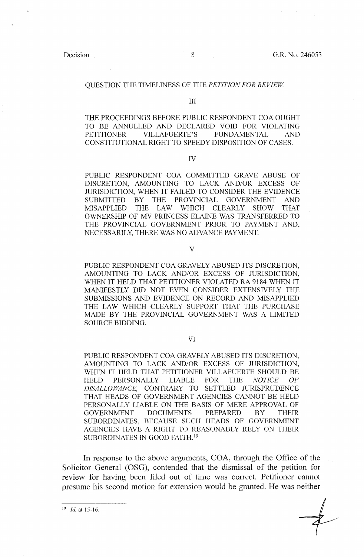### QUESTION THE TIMELINESS OF THE *PETITION FOR REVIEW*

### III

THE PROCEEDINGS BEFORE PUBLIC RESPONDENT COA OUGHT TO BE ANNULLED AND DECLARED VOID FOR VIOLATING PETITIONER VILLAFUERTE'S FUNDAMENTAL AND CONSTITUTIONAL RIGHT TO SPEEDY DISPOSITION OF CASES.

IV

PUBLIC RESPONDENT COA COMMITTED GRAVE ABUSE OF DISCRETION, AMOUNTING TO LACK AND/OR EXCESS OF JURISDICTION, WHEN IT FAILED TO CONSIDER THE EVIDENCE SUBMITTED BY THE PROVINCIAL GOVERNMENT AND MISAPPLIED THE LAW WHICH CLEARLY SHOW THAT OWNERSHIP OF MV PRINCESS ELAINE WAS TRANSFERRED TO THE PROVINCIAL GOVERNMENT PRIOR TO PAYMENT AND, NECESSARILY, THERE WAS NO ADVANCE PAYMENT.

#### V

PUBLIC RESPONDENT COA GRAVELY ABUSED ITS DISCRETION, AMOUNTING TO LACK AND/OR EXCESS OF JURISDICTION, WHEN IT HELD THAT PETITIONER VIOLATED RA 9184 WHEN IT MANIFESTLY DID NOT EVEN CONSIDER EXTENSIVELY THE SUBMISSIONS AND EVIDENCE ON RECORD AND MISAPPLIED THE LAW WHICH CLEARLY SUPPORT THAT THE PURCHASE MADE BY THE PROVINCIAL GOVERNMENT WAS A LIMITED SOURCE BIDDING.

## VI

PUBLIC RESPONDENT COA GRAVELY ABUSED ITS DISCRETION, AMOUNTING TO LACK AND/OR EXCESS OF JURISDICTION, WHEN IT HELD THAT PETITIONER VILLAFUERTE SHOULD BE HELD PERSONALLY LIABLE FOR THE *NOTICE OF DISALLOWANCE,* CONTRARY TO SETTLED JURISPRUDENCE THAT HEADS OF GOVERNMENT AGENCIES CANNOT BE HELD PERSONALLY LIABLE ON THE BASIS OF MERE APPROVAL OF GOVERNMENT DOCUMENTS PREPARED BY THEIR SUBORDINATES, BECAUSE SUCH HEADS OF GOVERNMENT AGENCIES HAVE A RIGHT TO REASONABLY RELY ON THEIR SUBORDINATES IN GOOD FAITH. <sup>19</sup>

In response to the above arguments, COA, through the Office of the Solicitor General (OSG), contended that the dismissal of the petition for review for having been filed out of time was correct. Petitioner cannot presume his second motion for extension would be granted. He was neither

19 *Id.* at 15-16.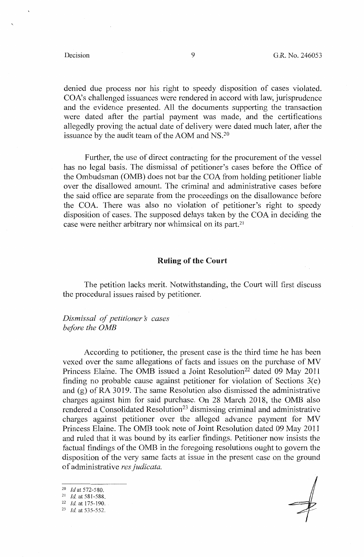denied due process nor his right to speedy disposition of cases violated. COA's challenged issuances were rendered in accord with law, jurisprudence and the evidence presented. All the documents supporting the transaction were dated after the partial payment was made, and the certifications allegedly proving the actual date of delivery were dated much later, after the issuance by the audit team of the AOM and NS.<sup>20</sup>

Further, the use of direct contracting for the procurement of the vessel has no legal basis. The dismissal of petitioner's cases before the Office of the Ombudsman (0MB) does not bar the COA from holding petitioner liable over the disallowed amount. The criminal and administrative cases before the said office are separate from the proceedings on the disallowance before the COA. There was also no violation of petitioner's right to speedy disposition of cases. The supposed delays taken by the COA in deciding the case were neither arbitrary nor whimsical on its part.<sup>21</sup>

### **Ruling of the Court**

The petition lacks merit. Notwithstanding, the Court will first discuss the procedural issues raised by petitioner.

*Dismissal of petitioner's cases before the 0MB* 

According to petitioner, the present case is the third time he has been vexed over the same allegations of facts and issues on the purchase of MV Princess Elaine. The OMB issued a Joint Resolution<sup>22</sup> dated 09 May 2011 finding no probable cause against petitioner for violation of Sections  $3(e)$ and (g) of RA 3019. The same Resolution also dismissed the administrative charges against him for said purchase. On 28 March 2018, the 0MB also rendered a Consolidated Resolution<sup>23</sup> dismissing criminal and administrative charges against petitioner over the alleged advance payment for MV Princess Elaine. The 0MB took note of Joint Resolution dated 09 May 2011 and ruled that it was bound by its earlier findings. Petitioner now insists the factual findings of the 0MB in the foregoing resolutions ought to govern the disposition of the very same facts at issue in the present case on the ground of administrative *res judicata.* 

- <sup>20</sup> *Id* at 572-580.<br><sup>21</sup> *Id.* at 581-588.
- 
- <sup>21</sup>*Id.* at 581-588. 22 *Id.* at 175-190. 23 *Id* at 535-552.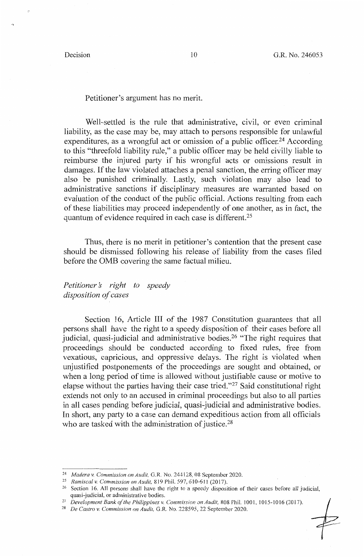.,

Petitioner's argument has no merit.

Well-settled is the rule that administrative, civil, or even criminal liability, as the case may be, may attach to persons responsible for unlawful expenditures, as a wrongful act or omission of a public officer.<sup>24</sup> According to this "threefold liability rule," a public officer may be held civilly liable to reimburse the injured party if his wrongful acts or omissions result in damages. If the law violated attaches a penal sanction, the erring officer may also be punished criminally. Lastly, such violation may also lead to administrative sanctions if disciplinary measures are warranted based on evaluation of the conduct of the public official. Actions resulting from each of these liabilities may proceed independently of one another, as in fact, the quantum of evidence required in each case is different. <sup>25</sup>

Thus, there is no merit in petitioner's contention that the present case should be dismissed following his release of liability from the cases filed before the 0MB covering the same factual milieu.

*Petitioners right to speedy disposition of cases* 

Section 16, Article III of the 1987 Constitution guarantees that all persons shall have the right to a speedy disposition of their cases before all judicial, quasi-judicial and administrative bodies.26 "The right requires that proceedings should be conducted according to fixed rules, free from vexatious, capricious, and oppressive delays. The right is violated when unjustified postponements of the proceedings are sought and obtained, or when a long period of time is allowed without justifiable cause or motive to elapse without the parties having their case tried. "27 Said constitutional right extends not only to an accused in criminal proceedings but also to all parties in all cases pending before judicial, quasi-judicial and administrative bodies. In short, any party to a case can demand expeditious action from all officials who are tasked with the administration of justice.<sup>28</sup>

<sup>&</sup>lt;sup>24</sup> *Madera v. Commission on Audit*, G.R. No. 244128, 08 September 2020.<br><sup>25</sup> *Ramiscal v. Commission on Audit*, 819 Phil. 597, 610-611 (2017).

<sup>&</sup>lt;sup>26</sup> Section 16. All persons shall have the right to a speedy disposition of their cases before all judicial, quasi-judicial, or administrative bodies.

<sup>&</sup>lt;sup>27</sup> Development Bank of the Philippines *v. Commission on Audit*, 808 Phil. 1001, 1015-1016 (2017).<br><sup>28</sup> De Castro *v. Commission on Audit*, G.R. No. 228595, 22 September 2020.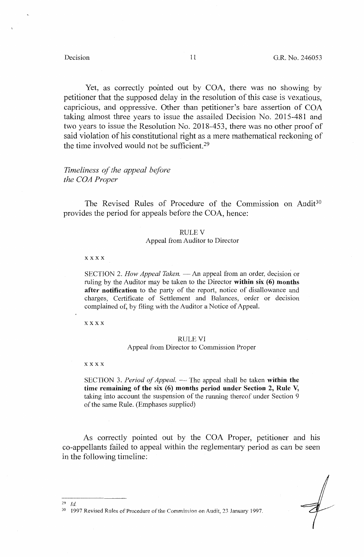Yet, as correctly pointed out by COA, there was no showing by petitioner that the supposed delay in the resolution of this case is vexatious, capricious, and oppressive. Other than petitioner's bare assertion of COA taking almost three years to issue the assailed Decision No. 2015-481 and two years to issue the Resolution No. 2018-453, there was no other proof of said violation of his constitutional right as a mere mathematical reckoning of the time involved would not be sufficient. 29

# *Timeliness of the appeal before the COA Proper*

The Revised Rules of Procedure of the Commission on Audit<sup>30</sup> provides the period for appeals before the COA, hence:

#### RULEY

### Appeal from Auditor to Director

**xxxx** 

SECTION 2. *How Appeal Taken*. — An appeal from an order, decision or ruling by the Auditor may be taken to the Director **within six (6) months after notification** to the party of the report, notice of disallowance and charges, Certificate of Settlement and Balances, order or decision complained of, by filing with the Auditor a Notice of Appeal.

xxxx

## RULE VJ

## Appeal from Director to Commission Proper

#### **xxxx**

SECTION 3. *Period of Appeal.* — The appeal shall be taken within the **time remaining of the six (6) months period under Section 2, Rule V,**  taking into account the suspension of the running thereof under Section 9 of the same Rule. (Emphases supplied)

As correctly pointed out by the COA Proper, petitioner and his co-appellants failed to appeal within the reglementary period as can be seen in the following timeline:

<sup>29</sup> *Id.* 

<sup>&</sup>lt;sup>30</sup> 1997 Revised Rules of Procedure of the Commission on Audit, 23 January 1997.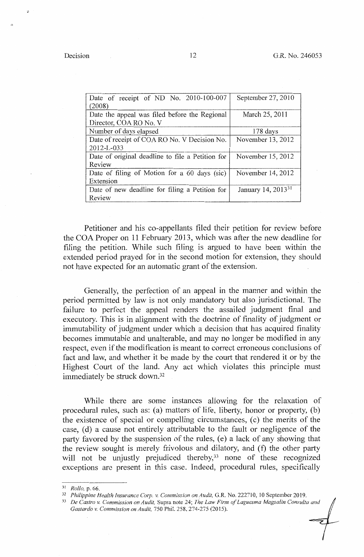| Date of receipt of ND No. 2010-100-007           | September 27, 2010             |  |
|--------------------------------------------------|--------------------------------|--|
| (2008)                                           |                                |  |
| Date the appeal was filed before the Regional    | March 25, 2011                 |  |
| Director, COA RO No. V                           |                                |  |
| Number of days elapsed                           | $178$ days                     |  |
| Date of receipt of COA RO No. V Decision No.     | November 13, 2012              |  |
| 2012-L-033                                       |                                |  |
| Date of original deadline to file a Petition for | November 15, 2012              |  |
| Review                                           |                                |  |
| Date of filing of Motion for a 60 days (sic)     | November 14, 2012              |  |
| Extension                                        |                                |  |
| Date of new deadline for filing a Petition for   | January 14, 2013 <sup>31</sup> |  |
| Review                                           |                                |  |

Petitioner and his co-appellants filed their petition for review before the COA Proper on 11 February 2013, which was after the new deadline for filing the petition. While such filing is argued to have been within the extended period prayed for in the second motion for extension, they should not have expected for an automatic grant of the extension.

Generally, the perfection of an appeal in the manner and within the period permitted by law is not only mandatory but also jurisdictional. The failure to perfect the appeal renders the assailed judgment final and executory. This is in alignment with the doctrine of finality of judgment or immutability of judgment under which a decision that has acquired finality becomes immutable and unalterable, and may no longer be modified in any respect, even if the modification is meant to correct erroneous conclusions of fact and law, and whether it be made by the court that rendered it or by the Highest Court of the land. Any act which violates this principle must immediately be struck down.<sup>32</sup>

While there are some instances allowing for the relaxation of procedural rules, such as: (a) matters of life, liberty, honor or property,  $(b)$ the existence of special or compelling circumstances, (c) the merits of the case, (d) a cause not entirely attributable to the fault or negligence of the party favored by the suspension of the rules, (e) a lack of any showing that the review sought is merely frivolous and dilatory, and (f) the other party will not be unjustly prejudiced thereby,<sup>33</sup> none of these recognized exceptions arc present in this case. Indeed, procedural rules, specifically

<sup>31</sup> Rollo, p. 66.<br><sup>32</sup> Philippine Health Insurance Corp. v. Commission on Audit, G.R. No. 222710, 10 September 2019.<br><sup>33</sup> De Castro v. Commission on Audit, Supra note 24; The Law Firm of Laguesma Magsalin Consulta and *Gastardo v. Commission on Audit,* 750 Phi!. 258, 274-275 (2015).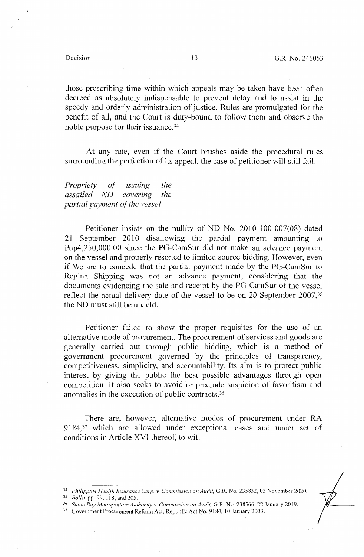·'

those prescribing time within which appeals may be taken have been often decreed as absolutely indispensable to prevent delay and to assist in the speedy and orderly administration of justice. Rules are promulgated for the benefit of all, and the Court is duty-bound to follow them and observe the noble purpose for their issuance.34

At any rate, even if the Court brushes aside the procedural rules surrounding the perfection of its appeal, the case of petitioner will still fail.

*Propriety of issuing the assailed ND covering the partial payment of the vessel* 

Petitioner insists on the nullity of ND No. 2010-100-007(08) dated 21 September 2010 disallowing the partial payment amounting to Php4,250,000.00 since the PG-CamSur did not make an advance payment on the vessel and properly resorted to limited source bidding. However, even if We are to concede that the partial payment made by the PG-CamSur to Regina Shipping was not an advance payment, considering that the documents evidencing the sale and receipt by the PG-CamSur of the vessel reflect the actual delivery date of the vessel to be on 20 September  $2007$ ,<sup>35</sup> the ND must still be upheld.

Petitioner failed to show the proper requisites for the use of an alternative mode of procurement. The procurement of services and goods are generally carried out through public bidding, which is a method of government procurement governed by the principles of transparency, competitiveness, simplicity, and accountability. Its aim is to protect public interest by giving the public the best possible advantages through open competition. It also seeks to avoid or preclude suspicion of favoritism and anomalies in the execution of public contracts. <sup>36</sup>

There are, however, alternative modes of procurement under RA 9184,<sup>37</sup> which are allowed under exceptional cases and under set of conditions in Article XVI thereof, to wit:

<sup>&</sup>lt;sup>34</sup> Philippine Health Insurance Corp. v. Commission on Audit, G.R. No. 235832, 03 November 2020.<br><sup>35</sup> Rollo, pp. 99, 118, and 205.<br><sup>36</sup> Subic Bay Metropolitan Authority v. Commission on Audit, G.R. No. 230566, 22 January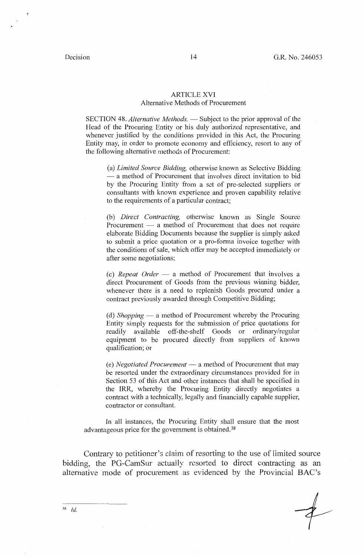.•

## ARTICLE XVI Alternative Methods of Procurement

SECTION 48. *Alternative Methods.* — Subject to the prior approval of the Head of the Procuring Entity or his duly authorized representative, and whenever justified by the conditions provided in this Act, the Procuring Entity may, in order to promote economy and efficiency, resort to any of the following alternative methods of Procurement:

(a) *Limited Source Bidding,* otherwise known as Selective Bidding --- a method of Procurement that involves direct invitation to bid by the Procuring Entity from a set of pre-selected suppliers or consultants with known experience and proven capability relative to the requirements of a particular contract;

(b) *Direct Contracting,* otherwise known as Single Source Procurement  $-$  a method of Procurement that does not require elaborate Bidding Documents because the supplier is simply asked to submit a price quotation or a pro-forma invoice together with the conditions of sale, which offer may be accepted immediately or after some negotiations;

*(* c) *Repeat Order* -- a method of Procurement that involves a direct Procurement of Goods from the previous winning bidder, whenever there is a need to replenish Goods procured under a contract previously awarded through Competitive Bidding;

(d) *Shopping* — a method of Procurement whereby the Procuring Entity simply requests for the submission of price quotations for readily available off-the-shelf Goods or ordinary/regular equipment to be procured directly from suppliers of known qualification; or

(e) *Negotiated Procurement* - a method of Procurement that may be resorted under the extraordinary circumstances provided for in Section 53 of this Act and other instances that shall be specified in the IRR, whereby the Procuring Entity directly negotiates a contract with a technically, legally and financially capable supplier, contractor or consultant.

In all instances, the Procuring Entity shall ensure that the most advantageous price for the government is obtained.38

Contrary to petitioner's claim of resorting to the use of limited source bidding, the PG-CamSur actually resorted to direct contracting as an alternative mode of procurement as evidenced by the Provincial BAC's

3& *Id.*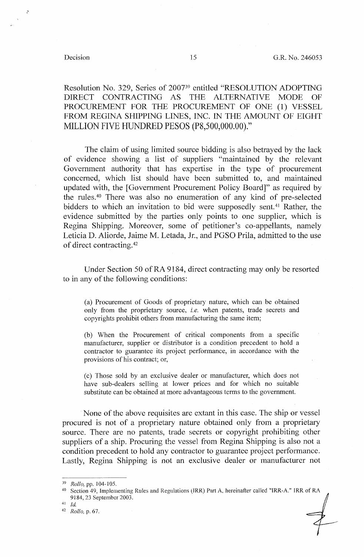Resolution No. 329, Series of 200739 entitled "RESOLUTION ADOPTING DIRECT CONTRACTING AS THE ALTERNATIVE MODE OF PROCUREMENT FOR THE PROCUREMENT OF ONE (1) VESSEL FROM REGINA SHIPPING LINES, INC. IN THE AMOUNT OF EIGHT MILLION FIVE HUNDRED PESOS (PS,500,000.00)."

The claim of using limited source bidding is also betrayed by the lack of evidence showing a list of suppliers "maintained by the relevant Government authority that has expertise in the type of procurement concerned, which list should have been submitted to, and maintained updated with, the [Government Procurement Policy Board]" as required by the rules.<sup>40</sup> There was also no enumeration of any kind of pre-selected bidders to which an invitation to bid were supposedly sent.<sup>41</sup> Rather, the evidence submitted by the parties only points to one supplier, which is Regina Shipping. Moreover, some of petitioner's co-appellants, namely Leticia D. Aliorde, Jaime M. Letada, Jr., and PGSO Prila, admitted to the use of direct contracting. <sup>42</sup>

Under Section 50 of RA 9184, direct contracting may only be resorted to in any of the following conditions:

(a) Procurement of Goods of proprietary nature, which can be obtained only from the proprietary source, *i.e.* when patents, trade secrets and copyrights prohibit others from manufacturing the same item;

(b) When the Procurement of critical components from a specific manufacturer, supplier or distributor is a condition precedent to hold a contractor to guarantee its project performance, in accordance with the provisions of his contract; or,

( c) Those sold by an exclusive dealer or manufacturer, which does not have sub-dealers selling at lower prices and for which no suitable substitute can be obtained at more advantageous terms to the government.

None of the above requisites are extant in this case. The ship or vessel procured is not of a proprietary nature obtained only from a proprietary source. There are no patents, trade secrets or copyright prohibiting other suppliers of a ship. Procuring the vessel from Regina Shipping is also not a condition precedent to hold any contractor to guarantee project performance. Lastly, Regina Shipping is not an exclusive dealer or manufacturer not

<sup>&</sup>lt;sup>39</sup> *Rollo, pp. 104-105.*<br><sup>40</sup> Section 49, Implementing Rules and Regulations (IRR) Part A, hereinafter called "IRR-A." IRR of RA 9184, 23 September 2003.

 $41$  Id.

<sup>42</sup>*Rollo,* p. 67.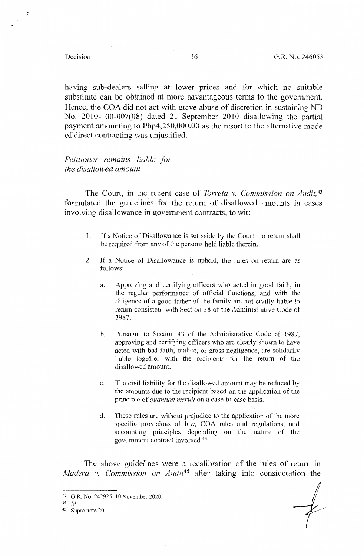;:

having sub-dealers selling at lower prices and for which no suitable substitute can be obtained at more advantageous terms to the government. Hence, the COA did not act with grave abuse of discretion in sustaining ND No. 2010-100-007(08) dated 21 September 2010 disallowing the partial payment amounting to Php4,250,000.00 as the resort to the alternative mode of direct contracting was unjustified.

# *Petitioner remains liable for the disallowed amount*

The Court, in the recent case of *Tbrreta v. Commission on Audit,* <sup>43</sup> formulated the guidelines for the return of disallowed amounts in cases involving disallowance in government contracts, to wit:

- 1. If a Notice of Disallowance is set aside by the Court, no return shall be required from any of the persons held liable therein.
- 2. If a Notice of Disallowance is upheld, the rules on return are as follows:
	- a. Approving and certifying officers who acted in good faith, in the regular performance of official functions, and with the diligence of a good father of the family are not civilly liable to return consistent with Section 38 of the Administrative Code of 1987.
	- b. Pursuant to Section 43 of the Administrative Code of 1987, approving and certifying officers who are clearly shown to have acted with bad faith, malice, or gross negligence, are solidarily liable together with the recipients for the return of the disallowed amount.
	- c. The civil liability for the disallowed amount may be reduced by the amounts due to the recipient based on the application of the principle of *quantum meruit* on a case-to-case basis.
	- d. These rules are without prejudice to the application of the inore specific provisions of law, COA rules and regulations, and accounting principles depending on the nature of the government contract involved.<sup>44</sup>

The above guidelines were a recalibration of the rules of return in *Madera v. Commission on Audit45* after taking into consideration the

<sup>43</sup> G.R. No. 242925, 10 November 2020.

<sup>44</sup> Id.

<sup>45</sup> Supra note 20.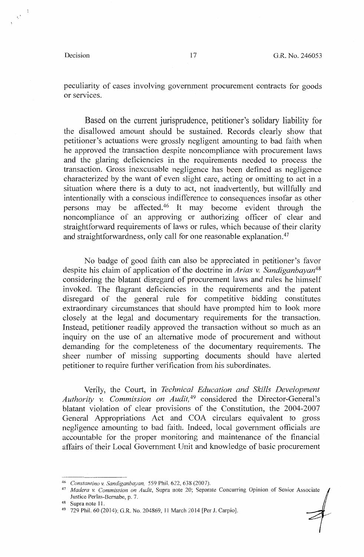peculiarity of cases involving government procurement contracts for goods or services.

Based on the current jurisprudence, petitioner's solidary liability for the disallowed amount should be sustained. Records clearly show that petitioner's actuations were grossly negligent amounting to bad faith when he approved the transaction despite noncompliance with procurement laws and the glaring deficiencies in the requirements needed to process the transaction. Gross inexcusable negligence has been defined as negligence characterized by the want of even slight care, acting or omitting to act in a situation where there is a duty to act, not inadvertently, but willfully and intentionally with a conscious indifference to consequences insofar as other persons may be affected. 46 It may become evident through the noncompliance of an approving or authorizing officer of clear and straightforward requirements of laws or rules, which because of their clarity and straightforwardness, only call for one reasonable explanation.<sup>47</sup>

No badge of good faith can also be appreciated in petitioner's favor despite his claim of application of the doctrine in *Arias v. Sandiganbayan48*  considering the blatant disregard of procurement laws and rules he himself invoked. The flagrant deficiencies in the requirements and the patent disregard of the general rule for competitive bidding constitutes extraordinary circumstances that should have prompted him to look more closely at the legal and documentary requirements for the transaction. Instead, petitioner readily approved the transaction without so much as an inquiry on the use of an alternative mode of procurement and without demanding for the completeness of the documentary requirements. The sheer number of missing supporting documents should have alerted petitioner to require further verification from his subordinates.

Verily, the Court, in *Technical Education and Skills Development Authority v. Commission on Audit,* 49 considered the Director-General:s blatant violation of clear provisions of the Constitution, the 2004-2007 General Appropriations Act and COA circulars equivalent to gross negligence amounting to bad faith. Indeed, local government officials are accountable for the proper monitoring and maintenance of the financial affairs of their Local Government Unit and knowledge of basic procurement

<sup>46</sup>*Constantino v. Sandiganbayan,* 559 Phil. 622, 638 (2007). 47 *Madera v. Commission on Audit,* Supra note 20; Separate Concurring Opinion of Senior Associate Justice Perlas-Bernabe, p. 7. 48 Supra note 11.

<sup>49 729</sup> Phil. 60 (2014); G.R. No. 204869, I! March :2014 [Per J. Carpio].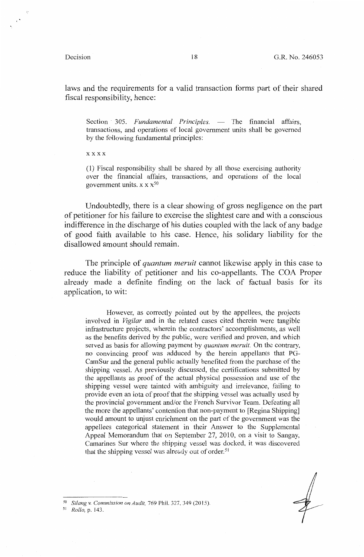laws and the requirements for a valid transaction forms part of their shared fiscal responsibility, hence:

Section 305. *Fundamental Principles*. — The financial affairs, transactions, and operations of local government units shall be governed by the following fundamental principles:

**xxxx** 

( 1) Fiscal responsibility shall be shared by all those exercising authority over the financial affairs, transactions, and operations of the local government units.  $x \times x^{50}$ 

Undoubtedly, there is a clear showing of gross negligence on the part of petitioner for his failure to exercise the slightest care and with a conscious indifference in the discharge of his duties coupled with the lack of any badge of good faith available to his case. Hence, his solidary liability for the disallowed amount should remain.

The principle of *quantum meruit* cannot likewise apply in this case to reduce the liability of petitioner and his co-appellants. The COA Proper already made a definite finding on the lack of factual basis for its application, to wit:

However, as correctly pointed out by the appellees, the projects involved in *Vigilar* and in the related cases cited therein were tangible infrastructure projects, wherein the contractors' accomplishments, as well as the benefits derived by the public, were verified and proven, and which served as basis for allowing payment by *quantum meruit.* On the contrary, no convincing proof was adduced by the herein appellants that PG-CamSur and the general public actually benefited from the purchase of the shipping vessel. As previously discussed, the certifications submitted by the appellants as proof of the actual physical possession and use of the shipping vessel were tainted with ambiguity and irrelevance, failing to provide even an iota of proof that the shipping vessel was actually used by the provincial government and/or the French Survivor Team. Defeating all the more the appellants' contention that non-payment to [Regina Shipping] would amount to unjust enrichment on the part of the government was the appellees categorical statement in their Answer to the Supplemental Appeal Memorandum that on September 27, 2010, on a visit to Sangay, Camarines Sur where the shipping vessel was docked, it was discovered that the shipping vessel was already out of order.<sup>51</sup>

<sup>50</sup>*Silang* v. *Commission on Audit,* 769 Phil. 327, 349 (2015).

51 *Rollo,* p. 143.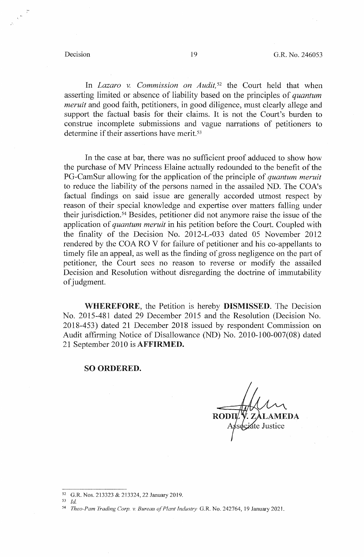In *Lazaro v. Commission on Audit*,<sup>52</sup> the Court held that when asserting limited or absence of liability based on the principles of *quantum meruit* and good faith, petitioners, in good diligence, must clearly allege and support the factual basis for their claims. It is not the Court's burden to construe incomplete submissions and vague narrations of petitioners to determine if their assertions have merit.<sup>53</sup>

In the case at bar, there was no sufficient proof adduced to show how the purchase of MV Princess Elaine actually redounded to the benefit of the PG-CamSur allowing for the application of the principle of *quantum meruit*  to reduce the liability of the persons named in the assailed ND. The COA's factual findings on said issue are generally accorded utmost respect by reason of their special knowledge and expertise over matters falling under their jurisdiction. 54 Besides, petitioner did not anymore raise the issue of the application of *quantum meruit* in his petition before the Court. Coupled with the finality of the Decision No. 2012-L-033 dated 05 November 2012 rendered by the COA RO V for failure of petitioner and his co-appellants to timely file an appeal, as well as the finding of gross negligence on the part of petitioner, the Court sees no reason to reverse or modify the assailed Decision and Resolution without disregarding the doctrine of immutability of judgment.

**WHEREFORE,** the Petition is hereby **DISMISSED.** The Decision No. 2015-481 dated 29 December 2015 and the Resolution (Decision No. 2018-453) dated 21 December 2018 issued by respondent Commission on Audit affirming Notice of Disallowance (ND) No. 2010-100-007(08) dated 21 September 2010 is **AFFIRMED.** 

### **SO ORDERED.**

EDA

 $52$  G.R. Nos. 213323 & 213324, 22 January 2019.

 $id$ 

<sup>54</sup>*Theo-Pam Trading Corp.* v. *Bureau o\_f Plant Industry* G.R. No. 242764, 19 January 2021.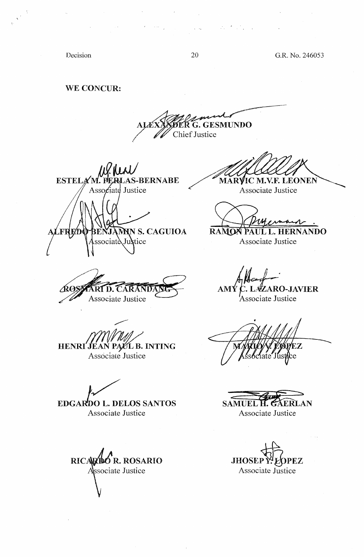20 G.R. No. 246053

Decision

WE CONCUR:

**GESMUNDO DER G. GES**<br>Chief Justice

**ESTELA -BERNABE** Associate Justice MN S. CAGUIOA

ssociate Justice

Associate Justice

**MARVIC M.V.F. LEONEN** 

Associate Justice

RANON PAUL L. HERNANDO

Associate Justice

**AMY C. LAZARO-JAVIER** 

'Associate Justice

'JÉAN PA/CL B. INTING Associate Justice

**HENRI** 

**EDGARDO L. DELOS SANTOS** Associate Justice

RICARDO R. ROSARIO Associate Justice

EZ

**SAMUEL H. GAERLAN** Associate Justice

**JHOSEP Y'EOPEZ** Associate Justice

 $\sim 10^{-12}$ 

 $\label{eq:2} \mathcal{L}_{\mathcal{A}} = \mathcal{L}_{\mathcal{A}} \mathcal{L}_{\mathcal{A}} \mathcal{L}_{\mathcal{A}} \mathcal{L}_{\mathcal{A}} \mathcal{L}_{\mathcal{A}}$ 

 $\mathcal{A}(\mathcal{A})$  and  $\mathcal{A}(\mathcal{A})$ 

والمتواصلات فالمتمرد والمتابعة والمتواطن